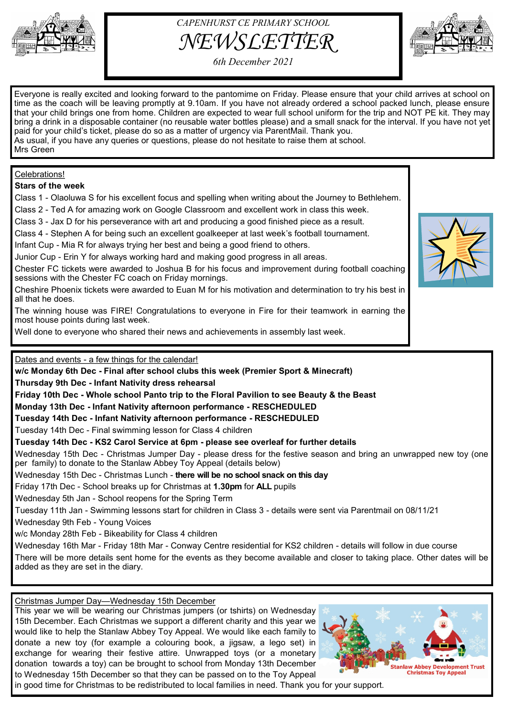



*6th December 2021*

Everyone is really excited and looking forward to the pantomime on Friday. Please ensure that your child arrives at school on time as the coach will be leaving promptly at 9.10am. If you have not already ordered a school packed lunch, please ensure that your child brings one from home. Children are expected to wear full school uniform for the trip and NOT PE kit. They may bring a drink in a disposable container (no reusable water bottles please) and a small snack for the interval. If you have not yet paid for your child's ticket, please do so as a matter of urgency via ParentMail. Thank you. As usual, if you have any queries or questions, please do not hesitate to raise them at school. Mrs Green

# Celebrations!

**Stars of the week** 

Class 1 - Olaoluwa S for his excellent focus and spelling when writing about the Journey to Bethlehem.

Class 2 - Ted A for amazing work on Google Classroom and excellent work in class this week.

Class 3 - Jax D for his perseverance with art and producing a good finished piece as a result.

Class 4 - Stephen A for being such an excellent goalkeeper at last week's football tournament.

Infant Cup - Mia R for always trying her best and being a good friend to others.

Junior Cup - Erin Y for always working hard and making good progress in all areas.

Chester FC tickets were awarded to Joshua B for his focus and improvement during football coaching sessions with the Chester FC coach on Friday mornings.

Cheshire Phoenix tickets were awarded to Euan M for his motivation and determination to try his best in all that he does.

The winning house was FIRE! Congratulations to everyone in Fire for their teamwork in earning the most house points during last week.

Well done to everyone who shared their news and achievements in assembly last week.

Dates and events - a few things for the calendar!

**w/c Monday 6th Dec - Final after school clubs this week (Premier Sport & Minecraft) Thursday 9th Dec - Infant Nativity dress rehearsal** 

**Friday 10th Dec - Whole school Panto trip to the Floral Pavilion to see Beauty & the Beast**

**Monday 13th Dec - Infant Nativity afternoon performance - RESCHEDULED**

# **Tuesday 14th Dec - Infant Nativity afternoon performance - RESCHEDULED**

Tuesday 14th Dec - Final swimming lesson for Class 4 children

**Tuesday 14th Dec - KS2 Carol Service at 6pm - please see overleaf for further details**

Wednesday 15th Dec - Christmas Jumper Day - please dress for the festive season and bring an unwrapped new toy (one per family) to donate to the Stanlaw Abbey Toy Appeal (details below)

Wednesday 15th Dec - Christmas Lunch - **there will be no school snack on this day**

Friday 17th Dec - School breaks up for Christmas at **1.30pm** for **ALL** pupils

Wednesday 5th Jan - School reopens for the Spring Term

Tuesday 11th Jan - Swimming lessons start for children in Class 3 - details were sent via Parentmail on 08/11/21

Wednesday 9th Feb - Young Voices

w/c Monday 28th Feb - Bikeability for Class 4 children

Wednesday 16th Mar - Friday 18th Mar - Conway Centre residential for KS2 children - details will follow in due course There will be more details sent home for the events as they become available and closer to taking place. Other dates will be added as they are set in the diary.

# Christmas Jumper Day—Wednesday 15th December

This year we will be wearing our Christmas jumpers (or tshirts) on Wednesday 15th December. Each Christmas we support a different charity and this year we would like to help the Stanlaw Abbey Toy Appeal. We would like each family to donate a new toy (for example a colouring book, a jigsaw, a lego set) in exchange for wearing their festive attire. Unwrapped toys (or a monetary donation towards a toy) can be brought to school from Monday 13th December to Wednesday 15th December so that they can be passed on to the Toy Appeal



in good time for Christmas to be redistributed to local families in need. Thank you for your support.